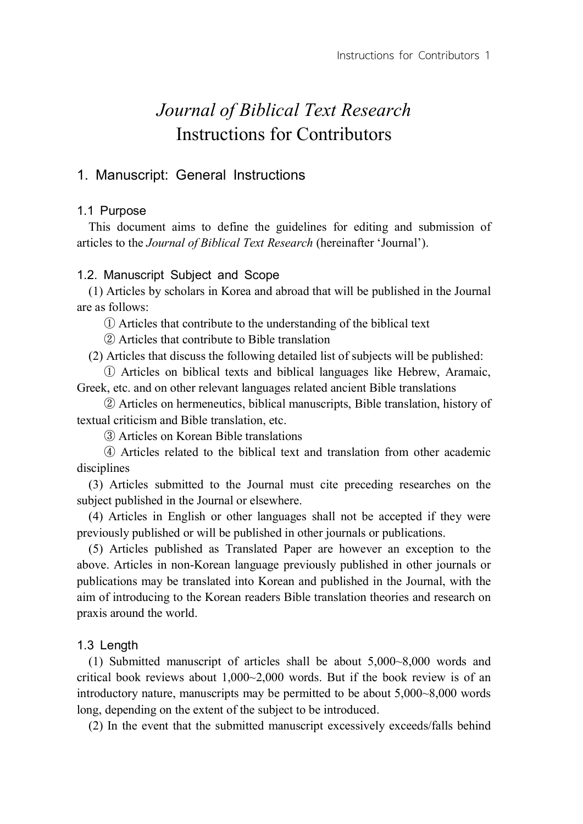# *Journal of Biblical Text Research* Instructions for Contributors

# 1. Manuscript: General Instructions

# 1.1 Purpose

This document aims to define the guidelines for editing and submission of articles to the *Journal of Biblical Text Research* (hereinafter 'Journal').

# 1.2. Manuscript Subject and Scope

(1) Articles by scholars in Korea and abroad that will be published in the Journal are as follows:

① Articles that contribute to the understanding of the biblical text

② Articles that contribute to Bible translation

(2) Articles that discuss the following detailed list of subjects will be published:

① Articles on biblical texts and biblical languages like Hebrew, Aramaic, Greek, etc. and on other relevant languages related ancient Bible translations

② Articles on hermeneutics, biblical manuscripts, Bible translation, history of textual criticism and Bible translation, etc.

③ Articles on Korean Bible translations

④ Articles related to the biblical text and translation from other academic disciplines

(3) Articles submitted to the Journal must cite preceding researches on the subject published in the Journal or elsewhere.

(4) Articles in English or other languages shall not be accepted if they were previously published or will be published in other journals or publications.

(5) Articles published as Translated Paper are however an exception to the above. Articles in non-Korean language previously published in other journals or publications may be translated into Korean and published in the Journal, with the aim of introducing to the Korean readers Bible translation theories and research on praxis around the world.

# 1.3 Length

(1) Submitted manuscript of articles shall be about 5,000~8,000 words and critical book reviews about 1,000~2,000 words. But if the book review is of an introductory nature, manuscripts may be permitted to be about 5,000~8,000 words long, depending on the extent of the subject to be introduced.

(2) In the event that the submitted manuscript excessively exceeds/falls behind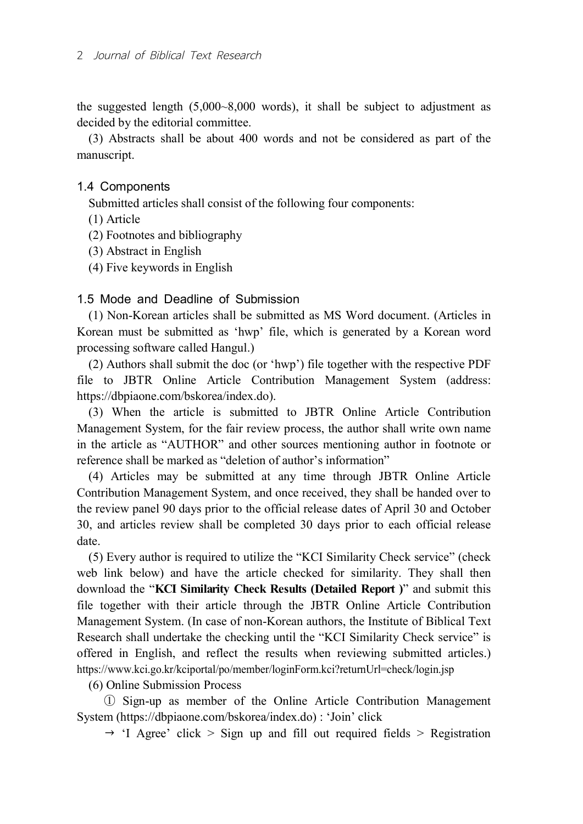the suggested length (5,000~8,000 words), it shall be subject to adjustment as decided by the editorial committee.

(3) Abstracts shall be about 400 words and not be considered as part of the manuscript.

## 1.4 Components

Submitted articles shall consist of the following four components:

- (1) Article
- (2) Footnotes and bibliography
- (3) Abstract in English
- (4) Five keywords in English

## 1.5 Mode and Deadline of Submission

(1) Non-Korean articles shall be submitted as MS Word document. (Articles in Korean must be submitted as 'hwp' file, which is generated by a Korean word processing software called Hangul.)

(2) Authors shall submit the doc (or 'hwp') file together with the respective PDF file to JBTR Online Article Contribution Management System (address: https://dbpiaone.com/bskorea/index.do).

(3) When the article is submitted to JBTR Online Article Contribution Management System, for the fair review process, the author shall write own name in the article as "AUTHOR" and other sources mentioning author in footnote or reference shall be marked as "deletion of author's information"

(4) Articles may be submitted at any time through JBTR Online Article Contribution Management System, and once received, they shall be handed over to the review panel 90 days prior to the official release dates of April 30 and October 30, and articles review shall be completed 30 days prior to each official release date.

(5) Every author is required to utilize the "KCI Similarity Check service" (check web link below) and have the article checked for similarity. They shall then download the "**KCI Similarity Check Results (Detailed Report )**" and submit this file together with their article through the JBTR Online Article Contribution Management System. (In case of non-Korean authors, the Institute of Biblical Text Research shall undertake the checking until the "KCI Similarity Check service" is offered in English, and reflect the results when reviewing submitted articles.) https://www.kci.go.kr/kciportal/po/member/loginForm.kci?returnUrl=check/login.jsp

(6) Online Submission Process

① Sign-up as member of the Online Article Contribution Management System (https://dbpiaone.com/bskorea/index.do) : 'Join' click

 $\rightarrow$  'I Agree' click > Sign up and fill out required fields > Registration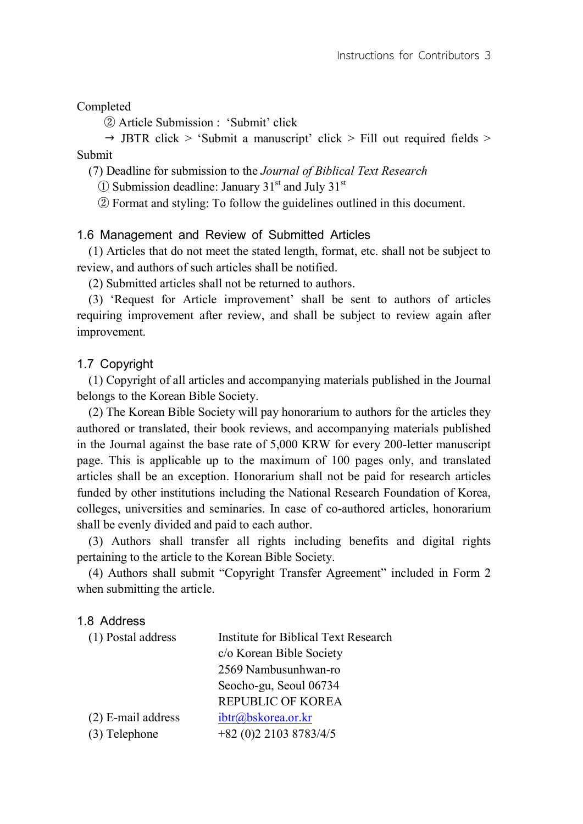Completed

② Article Submission : 'Submit' click

 $\rightarrow$  JBTR click > 'Submit a manuscript' click > Fill out required fields > Submit

(7) Deadline for submission to the *Journal of Biblical Text Research*

 $\Omega$  Submission deadline: January 31<sup>st</sup> and July 31<sup>st</sup>

② Format and styling: To follow the guidelines outlined in this document.

## 1.6 Management and Review of Submitted Articles

(1) Articles that do not meet the stated length, format, etc. shall not be subject to review, and authors of such articles shall be notified.

(2) Submitted articles shall not be returned to authors.

(3) 'Request for Article improvement' shall be sent to authors of articles requiring improvement after review, and shall be subject to review again after improvement.

### 1.7 Copyright

(1) Copyright of all articles and accompanying materials published in the Journal belongs to the Korean Bible Society.

(2) The Korean Bible Society will pay honorarium to authors for the articles they authored or translated, their book reviews, and accompanying materials published in the Journal against the base rate of 5,000 KRW for every 200-letter manuscript page. This is applicable up to the maximum of 100 pages only, and translated articles shall be an exception. Honorarium shall not be paid for research articles funded by other institutions including the National Research Foundation of Korea, colleges, universities and seminaries. In case of co-authored articles, honorarium shall be evenly divided and paid to each author.

(3) Authors shall transfer all rights including benefits and digital rights pertaining to the article to the Korean Bible Society.

(4) Authors shall submit "Copyright Transfer Agreement" included in Form 2 when submitting the article.

### 1.8 Address

| <b>Institute for Biblical Text Research</b> |
|---------------------------------------------|
| c/o Korean Bible Society                    |
| 2569 Nambusunhwan-ro                        |
| Seocho-gu, Seoul 06734                      |
| <b>REPUBLIC OF KOREA</b>                    |
| ibtr@bskorea.or.kr                          |
| $+82$ (0)2 2103 8783/4/5                    |
|                                             |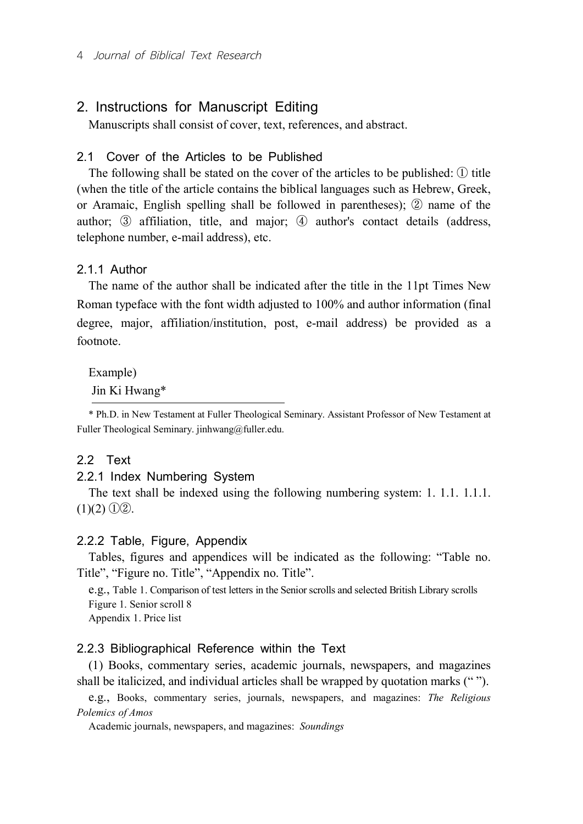# 2. Instructions for Manuscript Editing

Manuscripts shall consist of cover, text, references, and abstract.

# 2.1 Cover of the Articles to be Published

The following shall be stated on the cover of the articles to be published:  $\Omega$  title (when the title of the article contains the biblical languages such as Hebrew, Greek, or Aramaic, English spelling shall be followed in parentheses); ② name of the author; ③ affiliation, title, and major; ④ author's contact details (address, telephone number, e-mail address), etc.

## 2.1.1 Author

The name of the author shall be indicated after the title in the 11pt Times New Roman typeface with the font width adjusted to 100% and author information (final degree, major, affiliation/institution, post, e-mail address) be provided as a footnote.

Example) Jin Ki Hwang\*

\* Ph.D. in New Testament at Fuller Theological Seminary. Assistant Professor of New Testament at Fuller Theological Seminary. jinhwang@fuller.edu.

### 2.2 Text

#### 2.2.1 Index Numbering System

The text shall be indexed using the following numbering system: 1. 1.1. 1.1.1.  $(1)(2)$   $(1)(2)$ .

#### 2.2.2 Table, Figure, Appendix

Tables, figures and appendices will be indicated as the following: "Table no. Title", "Figure no. Title", "Appendix no. Title".

e.g., Table 1. Comparison of test letters in the Senior scrolls and selected British Library scrolls Figure 1. Senior scroll 8 Appendix 1. Price list

## 2.2.3 Bibliographical Reference within the Text

(1) Books, commentary series, academic journals, newspapers, and magazines shall be italicized, and individual articles shall be wrapped by quotation marks (" ").

e.g., Books, commentary series, journals, newspapers, and magazines: *The Religious Polemics of Amos*

Academic journals, newspapers, and magazines: *Soundings*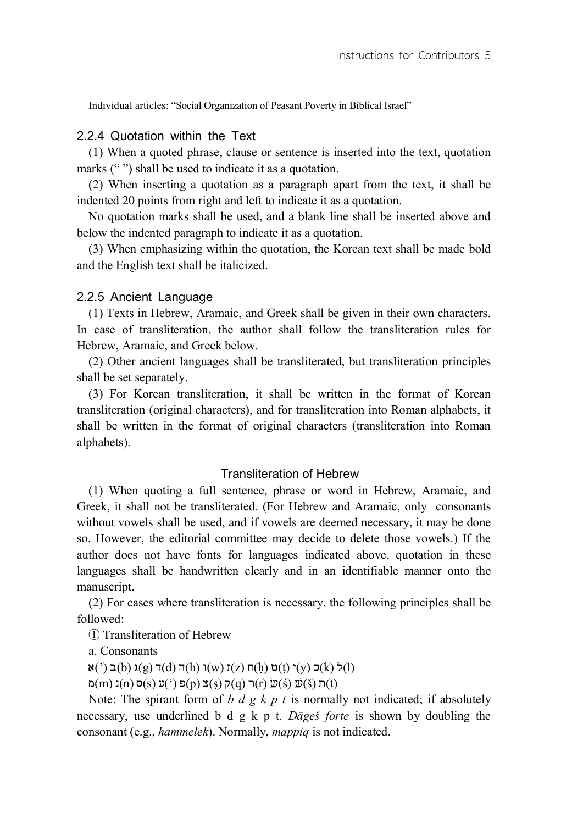Individual articles: "Social Organization of Peasant Poverty in Biblical Israel"

## 2.2.4 Quotation within the Text

(1) When a quoted phrase, clause or sentence is inserted into the text, quotation marks ("") shall be used to indicate it as a quotation.

(2) When inserting a quotation as a paragraph apart from the text, it shall be indented 20 points from right and left to indicate it as a quotation.

No quotation marks shall be used, and a blank line shall be inserted above and below the indented paragraph to indicate it as a quotation.

(3) When emphasizing within the quotation, the Korean text shall be made bold and the English text shall be italicized.

#### 2.2.5 Ancient Language

(1) Texts in Hebrew, Aramaic, and Greek shall be given in their own characters. In case of transliteration, the author shall follow the transliteration rules for Hebrew, Aramaic, and Greek below.

(2) Other ancient languages shall be transliterated, but transliteration principles shall be set separately.

(3) For Korean transliteration, it shall be written in the format of Korean transliteration (original characters), and for transliteration into Roman alphabets, it shall be written in the format of original characters (transliteration into Roman alphabets).

### Transliteration of Hebrew

(1) When quoting a full sentence, phrase or word in Hebrew, Aramaic, and Greek, it shall not be transliterated. (For Hebrew and Aramaic, only consonants without vowels shall be used, and if vowels are deemed necessary, it may be done so. However, the editorial committee may decide to delete those vowels.) If the author does not have fonts for languages indicated above, quotation in these languages shall be handwritten clearly and in an identifiable manner onto the manuscript.

(2) For cases where transliteration is necessary, the following principles shall be followed:

① Transliteration of Hebrew

a. Consonants

 $\mathfrak{a}(\cdot)$ ) כ $\mathfrak{b}(\cdot)$  (y) ( $\mathfrak{c}(\mathfrak{h})$  (x) (k) (h) (x) (h) (y) (k) (k)

ת ( $\mathfrak{D}(m)$  ת ( $\mathfrak{D}(s)$  (r) ת $\mathfrak{D}(s)$  (q) $\mathfrak{D}(s)$  (q) $\mathfrak{D}(s)$  (r)  $\mathfrak{D}(s)$  (d)  $\mathfrak{D}(t)$ 

Note: The spirant form of *b d g k p t* is normally not indicated; if absolutely necessary, use underlined b d g k p t. *Dāgeš forte* is shown by doubling the consonant (e.g., *hammelek*). Normally, *mappiq* is not indicated.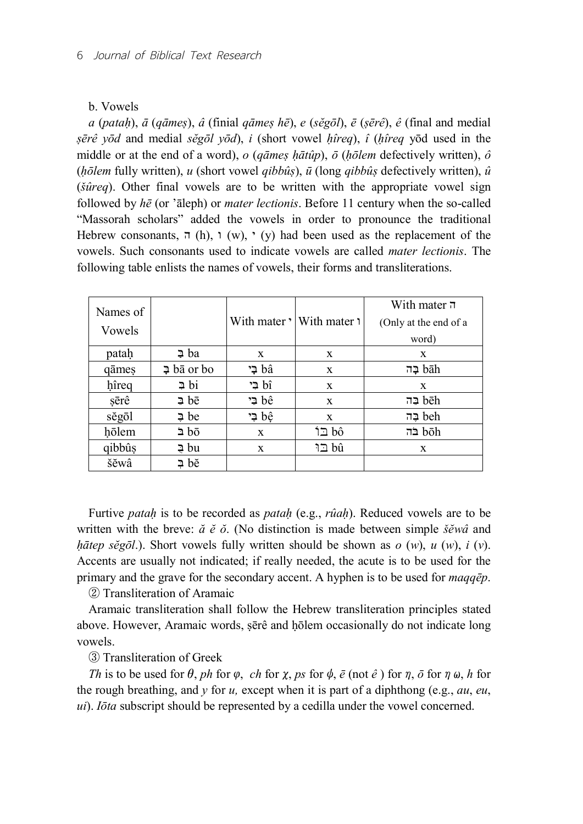#### b. Vowels

*a* (*pataḥ*), *ā* (*qāmeṣ*), *â* (finial *qāmeṣ hē*), *e* (*sĕgōl*), *ē* (*ṣērê*), *ê* (final and medial *ṣērê yōd* and medial *sĕgōl yōd*), *i* (short vowel *ḥîreq*), *î* (*ḥîreq* yōd used in the middle or at the end of a word), *o* (*qāmeṣ ḥātûp*), *ō* (*ḥōlem* defectively written), *ô* (*ḥōlem* fully written), *u* (short vowel *qibbûṣ*), *ū* (long *qibbûṣ* defectively written), *û* (*šûreq*). Other final vowels are to be written with the appropriate vowel sign followed by *hē* (or 'āleph) or *mater lectionis*. Before 11 century when the so-called "Massorah scholars" added the vowels in order to pronounce the traditional Hebrew consonants,  $\pi$  (h),  $\chi$  (w),  $\chi$  (y) had been used as the replacement of the vowels. Such consonants used to indicate vowels are called *mater lectionis*. The following table enlists the names of vowels, their forms and transliterations.

| Names of |                         |              |                            | With mater $\overline{\phantom{a}}$ |
|----------|-------------------------|--------------|----------------------------|-------------------------------------|
| Vowels   |                         |              | With mater '  With mater 1 | (Only at the end of a               |
|          |                         |              |                            | word)                               |
| patah    | ⊉ ba                    | X            | X                          | $\mathbf{X}$                        |
| qāmes    | $\overline{2}$ bā or bo | בי bâ        | X                          | בה bāh                              |
| hîreq    | ⊉ bi                    | ל בי bî      | X                          | $\mathbf{x}$                        |
| sērê     | $\Rightarrow$ be        | te ⊊י        | X                          | בה bēh                              |
| sĕgōl    | $\Rightarrow$ be        | ל בֵי bê     | X                          | teh בֶּה                            |
| hōlem    | 5d ⊆                    | $\mathbf{x}$ | bô ⊑1                      | בה bōh                              |
| qibbûş   | ⊉ bu                    | X            | bû בו                      | X                                   |
| šĕwâ     | ⊉ bĕ                    |              |                            |                                     |

Furtive *pataḥ* is to be recorded as *pataḥ* (e.g., *rûaḥ*). Reduced vowels are to be written with the breve: *ă ĕ ŏ*. (No distinction is made between simple *šĕwâ* and *ḥātep sĕgōl*.). Short vowels fully written should be shown as *o* (*w*), *u* (*w*), *i* (*v*). Accents are usually not indicated; if really needed, the acute is to be used for the primary and the grave for the secondary accent. A hyphen is to be used for *maqqēp*.

② Transliteration of Aramaic

Aramaic transliteration shall follow the Hebrew transliteration principles stated above. However, Aramaic words, ṣērê and ḥōlem occasionally do not indicate long vowels.

③ Transliteration of Greek

*Th* is to be used for  $\theta$ , *ph* for  $\varphi$ , *ch* for  $\chi$ , *ps* for  $\phi$ ,  $\bar{e}$  (not  $\hat{e}$ ) for  $\eta$ ,  $\bar{o}$  for  $\eta \omega$ , *h* for the rough breathing, and *y* for *u,* except when it is part of a diphthong (e.g., *au*, *eu*, *ui*). *Iōta* subscript should be represented by a cedilla under the vowel concerned.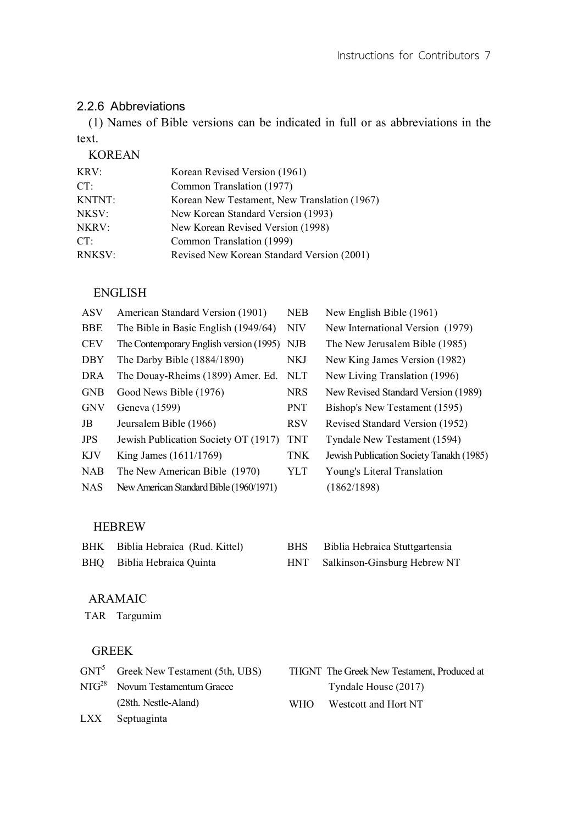# 2.2.6 Abbreviations

(1) Names of Bible versions can be indicated in full or as abbreviations in the text.

# KOREAN

| KRV:          | Korean Revised Version (1961)                |
|---------------|----------------------------------------------|
| CT:           | Common Translation (1977)                    |
| <b>KNTNT:</b> | Korean New Testament, New Translation (1967) |
| NKSV:         | New Korean Standard Version (1993)           |
| NKRV:         | New Korean Revised Version (1998)            |
| CT:           | Common Translation (1999)                    |
| <b>RNKSV:</b> | Revised New Korean Standard Version (2001)   |

# ENGLISH

| <b>ASV</b> | American Standard Version (1901)        | <b>NEB</b> | New English Bible (1961)                 |
|------------|-----------------------------------------|------------|------------------------------------------|
| <b>BBE</b> | The Bible in Basic English (1949/64)    | <b>NIV</b> | New International Version (1979)         |
| <b>CEV</b> | The Contemporary English version (1995) | <b>NJB</b> | The New Jerusalem Bible (1985)           |
| DBY        | The Darby Bible (1884/1890)             | NKJ        | New King James Version (1982)            |
| <b>DRA</b> | The Douay-Rheims (1899) Amer. Ed.       | <b>NLT</b> | New Living Translation (1996)            |
| <b>GNB</b> | Good News Bible (1976)                  | <b>NRS</b> | New Revised Standard Version (1989)      |
| <b>GNV</b> | Geneva (1599)                           | <b>PNT</b> | Bishop's New Testament (1595)            |
| JB         | Jeursalem Bible (1966)                  | <b>RSV</b> | Revised Standard Version (1952)          |
| <b>JPS</b> | Jewish Publication Society OT (1917)    | <b>TNT</b> | Tyndale New Testament (1594)             |
| <b>KJV</b> | King James (1611/1769)                  | <b>TNK</b> | Jewish Publication Society Tanakh (1985) |
| <b>NAB</b> | The New American Bible (1970)           | YLT        | Young's Literal Translation              |
| <b>NAS</b> | New American Standard Bible (1960/1971) |            | (1862/1898)                              |
|            |                                         |            |                                          |

# HEBREW

| BHK | Biblia Hebraica (Rud. Kittel) | BHS | Biblia Hebraica Stuttgartensia   |
|-----|-------------------------------|-----|----------------------------------|
|     | BHQ Biblia Hebraica Quinta    |     | HNT Salkinson-Ginsburg Hebrew NT |

# ARAMAIC

TAR Targumim

# GREEK

| $GNT5$ Greek New Testament (5th, UBS) |       | THGNT The Greek New Testament, Produced at |
|---------------------------------------|-------|--------------------------------------------|
| $NTG28$ Novum Testamentum Graece      |       | Tyndale House (2017)                       |
| (28th. Nestle-Aland)                  | WHO – | Westcott and Hort NT                       |
| LXX Septuaginta                       |       |                                            |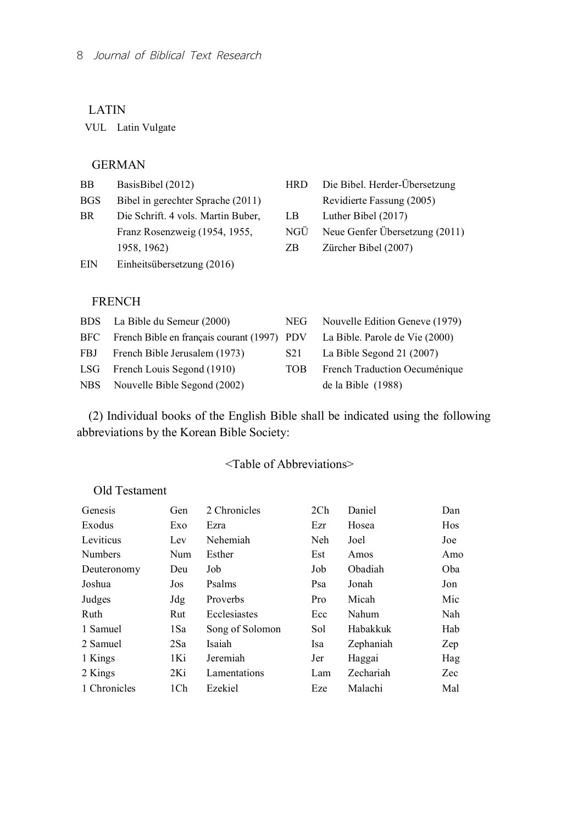## LATIN

VUL Latin Vulgate

## GERMAN

| <b>BB</b>  | BasisBibel (2012)                  | <b>HRD</b> | Die Bibel. Herder-Übersetzung  |
|------------|------------------------------------|------------|--------------------------------|
| <b>BGS</b> | Bibel in gerechter Sprache (2011)  |            | Revidierte Fassung (2005)      |
| BR.        | Die Schrift. 4 vols. Martin Buber, | LB         | Luther Bibel (2017)            |
|            | Franz Rosenzweig (1954, 1955,      | <b>NGU</b> | Neue Genfer Übersetzung (2011) |
|            | 1958, 1962)                        | ZΒ         | Zürcher Bibel (2007)           |
| EIN        | Einheitsübersetzung (2016)         |            |                                |

## FRENCH

| BDS La Bible du Semeur (2000)                                                  |      | NEG Nouvelle Edition Geneve (1979) |
|--------------------------------------------------------------------------------|------|------------------------------------|
| BFC French Bible en français courant (1997) PDV La Bible. Parole de Vie (2000) |      |                                    |
| FBJ French Bible Jerusalem (1973)                                              | S21  | La Bible Segond 21 $(2007)$        |
| LSG French Louis Segond (1910)                                                 | TOB. | French Traduction Oecuménique      |
| NBS Nouvelle Bible Segond (2002)                                               |      | de la Bible $(1988)$               |

(2) Individual books of the English Bible shall be indicated using the following abbreviations by the Korean Bible Society:

# <Table of Abbreviations>

# Old Testament

| Genesis        | Gen | 2 Chronicles    | 2Ch | Daniel    | Dan        |
|----------------|-----|-----------------|-----|-----------|------------|
| Exodus         | Exo | Ezra            | Ezr | Hosea     | <b>Hos</b> |
| Leviticus      | Lev | Nehemiah        | Neh | Joel      | Joe        |
| <b>Numbers</b> | Num | Esther          | Est | Amos      | Amo        |
| Deuteronomy    | Deu | Job             | Job | Obadiah   | Oba        |
| Joshua         | Jos | Psalms          | Psa | Jonah     | Jon        |
| Judges         | Jdg | Proverbs        | Pro | Micah     | Mic        |
| Ruth           | Rut | Ecclesiastes    | Ecc | Nahum     | Nah        |
| 1 Samuel       | 1Sa | Song of Solomon | Sol | Habakkuk  | Hab        |
| 2 Samuel       | 2Sa | Isaiah          | Isa | Zephaniah | Zep        |
| 1 Kings        | 1Ki | Jeremiah        | Jer | Haggai    | Hag        |
| 2 Kings        | 2Ki | Lamentations    | Lam | Zechariah | Zec        |
| 1 Chronicles   | 1Ch | Ezekiel         | Eze | Malachi   | Mal        |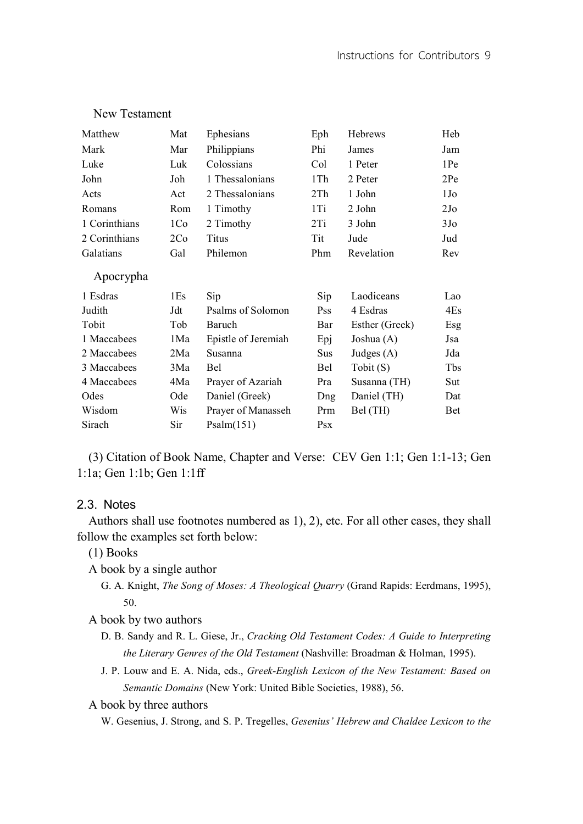| Matthew       | Mat | Ephesians           | Eph        | Hebrews           | Heb             |
|---------------|-----|---------------------|------------|-------------------|-----------------|
| Mark          | Mar | Philippians         | Phi        | James             | Jam             |
| Luke          | Luk | Colossians          | Col        | 1 Peter           | 1Pe             |
| John          | Joh | 1 Thessalonians     | 1Th        | 2 Peter           | 2Pe             |
| Acts          | Act | 2 Thessalonians     | 2Th        | 1 John            | 1J <sub>0</sub> |
| Romans        | Rom | 1 Timothy           | 1Ti        | 2 John            | 2J <sub>o</sub> |
| 1 Corinthians | 1Co | 2 Timothy           | 2Ti        | 3 John            | 3J <sub>o</sub> |
| 2 Corinthians | 2Co | Titus               | Tit        | Jude              | Jud             |
| Galatians     | Gal | Philemon            | Phm        | Revelation        | Rev             |
| Apocrypha     |     |                     |            |                   |                 |
| 1 Esdras      | 1Es | Sip                 | Sip        | Laodiceans        | Lao             |
| Judith        | Jdt | Psalms of Solomon   | <b>Pss</b> | 4 Esdras          | 4Es             |
| Tobit         | Tob | Baruch              | Bar        | Esther (Greek)    | Esg             |
| 1 Maccabees   | 1Ma | Epistle of Jeremiah | Epj        | Joshua (A)        | Jsa             |
| 2 Maccabees   | 2Ma | Susanna             | Sus        | Judges $(A)$      | Jda             |
| 3 Maccabees   | 3Ma | Bel                 | Bel        | $\text{Tobit}(S)$ | Tbs             |
| 4 Maccabees   | 4Ma | Prayer of Azariah   | Pra        | Susanna (TH)      | Sut             |
| Odes          | Ode | Daniel (Greek)      | Dng        | Daniel (TH)       | Dat             |
| Wisdom        | Wis | Prayer of Manasseh  | Prm        | Bel (TH)          | <b>Bet</b>      |
| Sirach        | Sir | Psalm(151)          | <b>Psx</b> |                   |                 |

## New Testament

(3) Citation of Book Name, Chapter and Verse: CEV Gen 1:1; Gen 1:1-13; Gen 1:1a; Gen 1:1b; Gen 1:1ff

### 2.3. Notes

Authors shall use footnotes numbered as 1), 2), etc. For all other cases, they shall follow the examples set forth below:

(1) Books

A book by a single author

- G. A. Knight, *The Song of Moses: A Theological Quarry* (Grand Rapids: Eerdmans, 1995), 50.
- A book by two authors
	- D. B. Sandy and R. L. Giese, Jr., *Cracking Old Testament Codes: A Guide to Interpreting the Literary Genres of the Old Testament* (Nashville: Broadman & Holman, 1995).
	- J. P. Louw and E. A. Nida, eds., *Greek-English Lexicon of the New Testament: Based on Semantic Domains* (New York: United Bible Societies, 1988), 56.

A book by three authors

W. Gesenius, J. Strong, and S. P. Tregelles, *Gesenius' Hebrew and Chaldee Lexicon to the*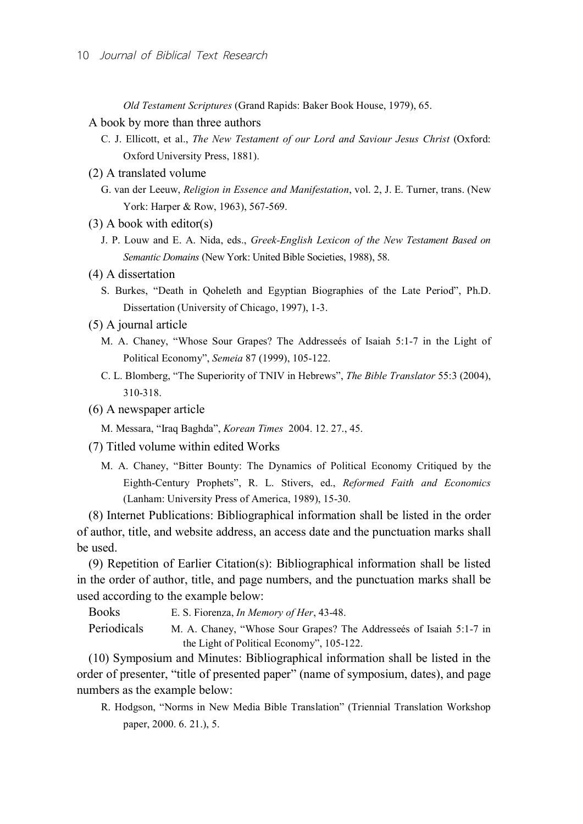*Old Testament Scriptures* (Grand Rapids: Baker Book House, 1979), 65.

- A book by more than three authors
	- C. J. Ellicott, et al., *The New Testament of our Lord and Saviour Jesus Christ* (Oxford: Oxford University Press, 1881).
- (2) A translated volume
	- G. van der Leeuw, *Religion in Essence and Manifestation*, vol. 2, J. E. Turner, trans. (New York: Harper & Row, 1963), 567-569.
- (3) A book with editor(s)
	- J. P. Louw and E. A. Nida, eds., *Greek-English Lexicon of the New Testament Based on Semantic Domains* (New York: United Bible Societies, 1988), 58.
- (4) A dissertation
	- S. Burkes, "Death in Qoheleth and Egyptian Biographies of the Late Period", Ph.D. Dissertation (University of Chicago, 1997), 1-3.
- (5) A journal article
	- M. A. Chaney, "Whose Sour Grapes? The Addresseés of Isaiah 5:1-7 in the Light of Political Economy", *Semeia* 87 (1999), 105-122.
	- C. L. Blomberg, "The Superiority of TNIV in Hebrews", *The Bible Translator* 55:3 (2004), 310-318.
- (6) A newspaper article
	- M. Messara, "Iraq Baghda", *Korean Times* 2004. 12. 27., 45.
- (7) Titled volume within edited Works
	- M. A. Chaney, "Bitter Bounty: The Dynamics of Political Economy Critiqued by the Eighth-Century Prophets", R. L. Stivers, ed., *Reformed Faith and Economics* (Lanham: University Press of America, 1989), 15-30.

(8) Internet Publications: Bibliographical information shall be listed in the order of author, title, and website address, an access date and the punctuation marks shall be used.

(9) Repetition of Earlier Citation(s): Bibliographical information shall be listed in the order of author, title, and page numbers, and the punctuation marks shall be used according to the example below:

Books E. S. Fiorenza, *In Memory of Her*, 43-48. Periodicals M. A. Chaney, "Whose Sour Grapes? The Addresseés of Isaiah 5:1-7 in

the Light of Political Economy", 105-122.

(10) Symposium and Minutes: Bibliographical information shall be listed in the order of presenter, "title of presented paper" (name of symposium, dates), and page numbers as the example below:

R. Hodgson, "Norms in New Media Bible Translation" (Triennial Translation Workshop paper, 2000. 6. 21.), 5.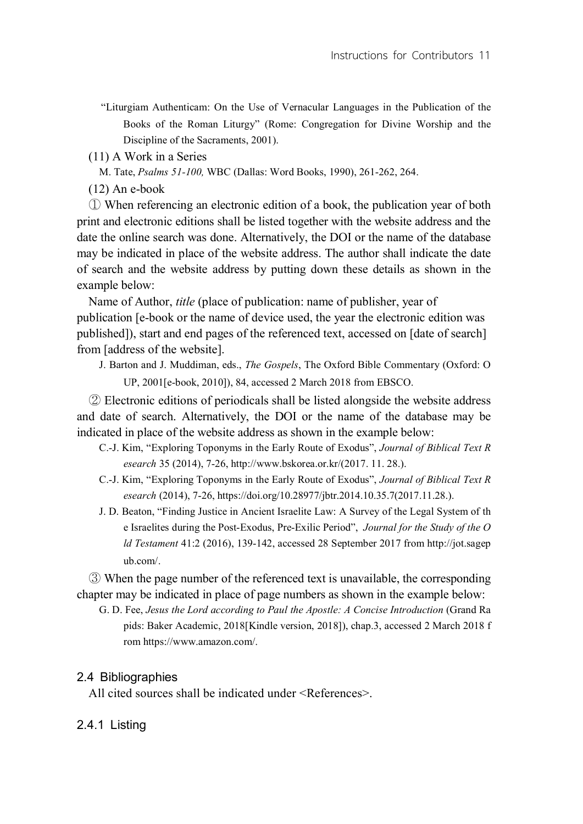- "Liturgiam Authenticam: On the Use of Vernacular Languages in the Publication of the Books of the Roman Liturgy" (Rome: Congregation for Divine Worship and the Discipline of the Sacraments, 2001).
- (11) A Work in a Series
	- M. Tate, *Psalms 51-100,* WBC (Dallas: Word Books, 1990), 261-262, 264.
- (12) An e-book

① When referencing an electronic edition of a book, the publication year of both print and electronic editions shall be listed together with the website address and the date the online search was done. Alternatively, the DOI or the name of the database may be indicated in place of the website address. The author shall indicate the date of search and the website address by putting down these details as shown in the example below:

Name of Author, *title* (place of publication: name of publisher, year of publication [e-book or the name of device used, the year the electronic edition was published]), start and end pages of the referenced text, accessed on [date of search] from [address of the website].

J. Barton and J. Muddiman, eds., *The Gospels*, The Oxford Bible Commentary (Oxford: O UP, 2001[e-book, 2010]), 84, accessed 2 March 2018 from EBSCO.

② Electronic editions of periodicals shall be listed alongside the website address and date of search. Alternatively, the DOI or the name of the database may be indicated in place of the website address as shown in the example below:

- C.-J. Kim, "Exploring Toponyms in the Early Route of Exodus", *Journal of Biblical Text R esearch* 35 (2014), 7-26, http://www.bskorea.or.kr/(2017. 11. 28.).
- C.-J. Kim, "Exploring Toponyms in the Early Route of Exodus", *Journal of Biblical Text R esearch* (2014), 7-26, https://doi.org/10.28977/jbtr.2014.10.35.7(2017.11.28.).
- J. D. Beaton, "Finding Justice in Ancient Israelite Law: A Survey of the Legal System of th e Israelites during the Post-Exodus, Pre-Exilic Period", *Journal for the Study of the O ld Testament* 41:2 (2016), 139-142, accessed 28 September 2017 from http://jot.sagep ub.com/.

③ When the page number of the referenced text is unavailable, the corresponding chapter may be indicated in place of page numbers as shown in the example below:

G. D. Fee, *Jesus the Lord according to Paul the Apostle: A Concise Introduction* (Grand Ra pids: Baker Academic, 2018[Kindle version, 2018]), chap.3, accessed 2 March 2018 f rom https://www.amazon.com/.

### 2.4 Bibliographies

All cited sources shall be indicated under <References>.

### 2.4.1 Listing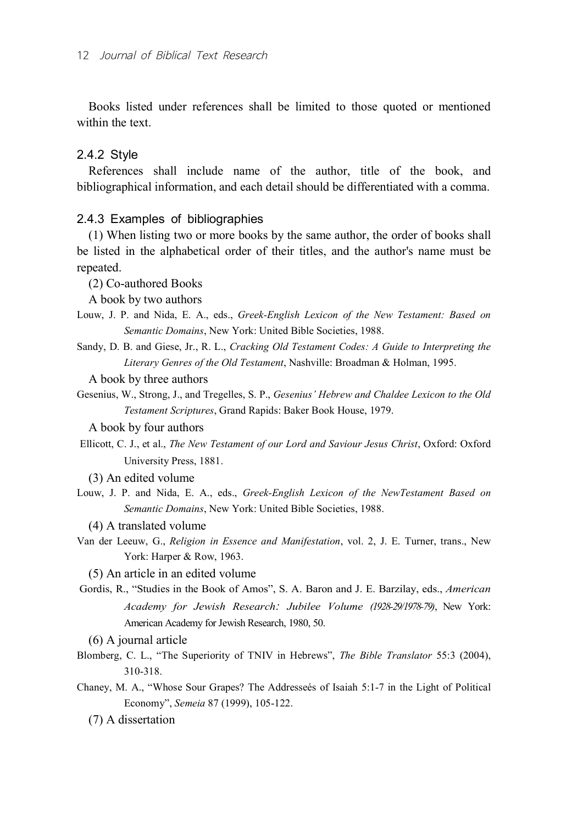Books listed under references shall be limited to those quoted or mentioned within the text.

## 2.4.2 Style

References shall include name of the author, title of the book, and bibliographical information, and each detail should be differentiated with a comma.

### 2.4.3 Examples of bibliographies

(1) When listing two or more books by the same author, the order of books shall be listed in the alphabetical order of their titles, and the author's name must be repeated.

(2) Co-authored Books

A book by two authors

- Louw, J. P. and Nida, E. A., eds., *Greek-English Lexicon of the New Testament: Based on Semantic Domains*, New York: United Bible Societies, 1988.
- Sandy, D. B. and Giese, Jr., R. L., *Cracking Old Testament Codes: A Guide to Interpreting the Literary Genres of the Old Testament*, Nashville: Broadman & Holman, 1995.

A book by three authors

Gesenius, W., Strong, J., and Tregelles, S. P., *Gesenius' Hebrew and Chaldee Lexicon to the Old Testament Scriptures*, Grand Rapids: Baker Book House, 1979.

A book by four authors

- Ellicott, C. J., et al., *The New Testament of our Lord and Saviour Jesus Christ*, Oxford: Oxford University Press, 1881.
	- (3) An edited volume
- Louw, J. P. and Nida, E. A., eds., *Greek-English Lexicon of the NewTestament Based on Semantic Domains*, New York: United Bible Societies, 1988.
	- (4) A translated volume
- Van der Leeuw, G., *Religion in Essence and Manifestation*, vol. 2, J. E. Turner, trans., New York: Harper & Row, 1963.

(5) An article in an edited volume

Gordis, R., "Studies in the Book of Amos", S. A. Baron and J. E. Barzilay, eds., *American Academy for Jewish Research: Jubilee Volume (1928-29/1978-79)*, New York: American Academy for Jewish Research, 1980, 50.

(6) A journal article

- Blomberg, C. L., "The Superiority of TNIV in Hebrews", *The Bible Translator* 55:3 (2004), 310-318.
- Chaney, M. A., "Whose Sour Grapes? The Addresseés of Isaiah 5:1-7 in the Light of Political Economy", *Semeia* 87 (1999), 105-122.

(7) A dissertation